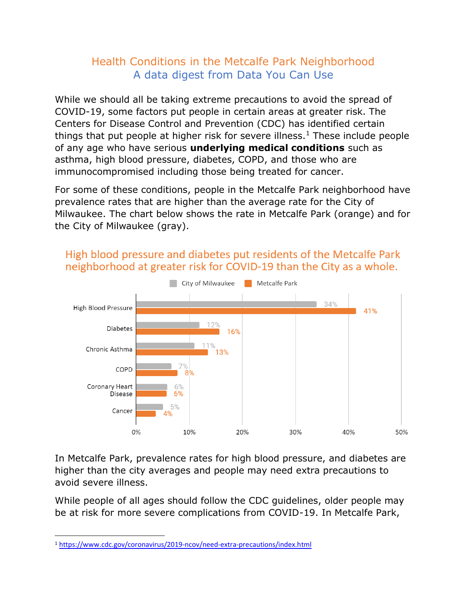## Health Conditions in the Metcalfe Park Neighborhood A data digest from Data You Can Use

While we should all be taking extreme precautions to avoid the spread of COVID-19, some factors put people in certain areas at greater risk. The Centers for Disease Control and Prevention (CDC) has identified certain things that put people at higher risk for severe illness.<sup>1</sup> These include people of any age who have serious **underlying medical conditions** such as asthma, high blood pressure, diabetes, COPD, and those who are immunocompromised including those being treated for cancer.

For some of these conditions, people in the Metcalfe Park neighborhood have prevalence rates that are higher than the average rate for the City of Milwaukee. The chart below shows the rate in Metcalfe Park (orange) and for the City of Milwaukee (gray).



## High blood pressure and diabetes put residents of the Metcalfe Park neighborhood at greater risk for COVID-19 than the City as a whole.

In Metcalfe Park, prevalence rates for high blood pressure, and diabetes are higher than the city averages and people may need extra precautions to avoid severe illness.

While people of all ages should follow the CDC guidelines, older people may be at risk for more severe complications from COVID-19. In Metcalfe Park,

<sup>1</sup> <https://www.cdc.gov/coronavirus/2019-ncov/need-extra-precautions/index.html>